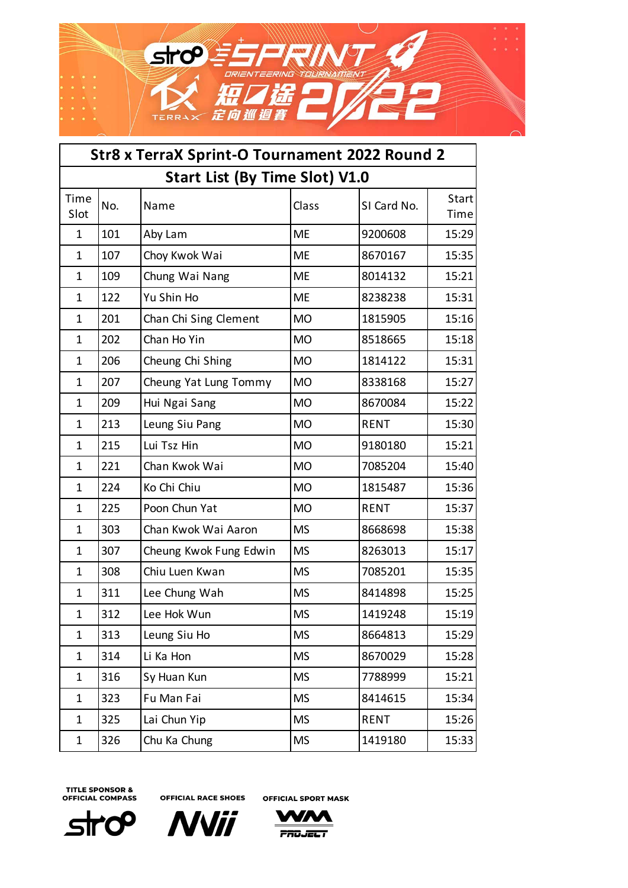

| Str8 x TerraX Sprint-O Tournament 2022 Round 2 |                                       |                        |           |             |               |  |  |  |
|------------------------------------------------|---------------------------------------|------------------------|-----------|-------------|---------------|--|--|--|
|                                                | <b>Start List (By Time Slot) V1.0</b> |                        |           |             |               |  |  |  |
| Time<br>Slot                                   | No.                                   | Name                   | Class     | SI Card No. | Start<br>Time |  |  |  |
| $\mathbf{1}$                                   | 101                                   | Aby Lam                | <b>ME</b> | 9200608     | 15:29         |  |  |  |
| $\mathbf 1$                                    | 107                                   | Choy Kwok Wai          | <b>ME</b> | 8670167     | 15:35         |  |  |  |
| $\mathbf 1$                                    | 109                                   | Chung Wai Nang         | <b>ME</b> | 8014132     | 15:21         |  |  |  |
| $\mathbf 1$                                    | 122                                   | Yu Shin Ho             | <b>ME</b> | 8238238     | 15:31         |  |  |  |
| $\mathbf 1$                                    | 201                                   | Chan Chi Sing Clement  | <b>MO</b> | 1815905     | 15:16         |  |  |  |
| $\mathbf 1$                                    | 202                                   | Chan Ho Yin            | <b>MO</b> | 8518665     | 15:18         |  |  |  |
| $\mathbf 1$                                    | 206                                   | Cheung Chi Shing       | <b>MO</b> | 1814122     | 15:31         |  |  |  |
| $\mathbf 1$                                    | 207                                   | Cheung Yat Lung Tommy  | <b>MO</b> | 8338168     | 15:27         |  |  |  |
| $\mathbf 1$                                    | 209                                   | Hui Ngai Sang          | <b>MO</b> | 8670084     | 15:22         |  |  |  |
| $\mathbf{1}$                                   | 213                                   | Leung Siu Pang         | <b>MO</b> | <b>RENT</b> | 15:30         |  |  |  |
| $\mathbf{1}$                                   | 215                                   | Lui Tsz Hin            | <b>MO</b> | 9180180     | 15:21         |  |  |  |
| 1                                              | 221                                   | Chan Kwok Wai          | <b>MO</b> | 7085204     | 15:40         |  |  |  |
| $\mathbf{1}$                                   | 224                                   | Ko Chi Chiu            | <b>MO</b> | 1815487     | 15:36         |  |  |  |
| $\mathbf{1}$                                   | 225                                   | Poon Chun Yat          | <b>MO</b> | <b>RENT</b> | 15:37         |  |  |  |
| $\mathbf 1$                                    | 303                                   | Chan Kwok Wai Aaron    | <b>MS</b> | 8668698     | 15:38         |  |  |  |
| 1                                              | 307                                   | Cheung Kwok Fung Edwin | <b>MS</b> | 8263013     | 15:17         |  |  |  |
| $\mathbf 1$                                    | 308                                   | Chiu Luen Kwan         | <b>MS</b> | 7085201     | 15:35         |  |  |  |
| $\mathbf 1$                                    | 311                                   | Lee Chung Wah          | <b>MS</b> | 8414898     | 15:25         |  |  |  |
| $\mathbf{1}$                                   | 312                                   | Lee Hok Wun            | <b>MS</b> | 1419248     | 15:19         |  |  |  |
| 1                                              | 313                                   | Leung Siu Ho           | <b>MS</b> | 8664813     | 15:29         |  |  |  |
| $\mathbf 1$                                    | 314                                   | Li Ka Hon              | <b>MS</b> | 8670029     | 15:28         |  |  |  |
| $\mathbf 1$                                    | 316                                   | Sy Huan Kun            | <b>MS</b> | 7788999     | 15:21         |  |  |  |
| $\mathbf 1$                                    | 323                                   | Fu Man Fai             | <b>MS</b> | 8414615     | 15:34         |  |  |  |
| $\mathbf 1$                                    | 325                                   | Lai Chun Yip           | <b>MS</b> | <b>RENT</b> | 15:26         |  |  |  |
| $\mathbf 1$                                    | 326                                   | Chu Ka Chung           | <b>MS</b> | 1419180     | 15:33         |  |  |  |





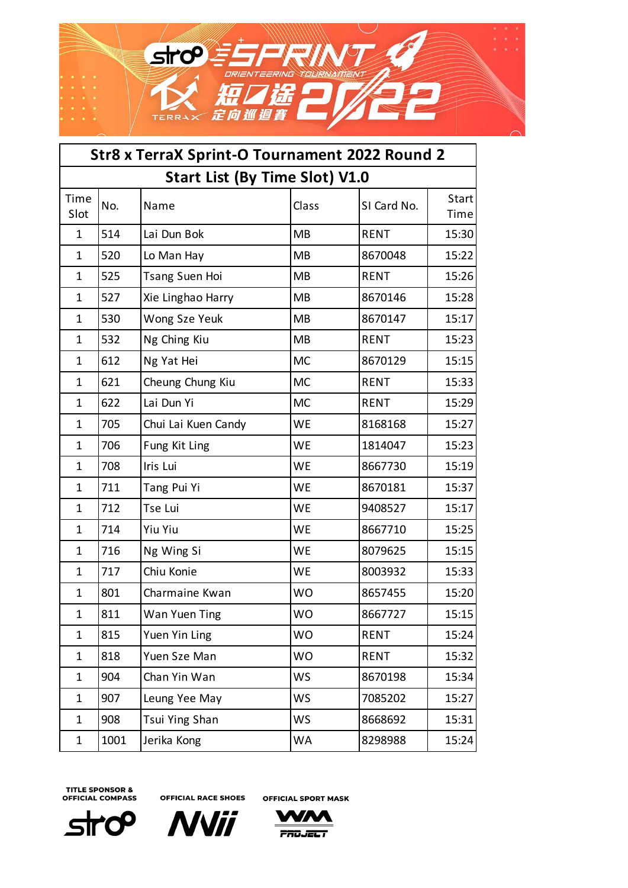

| Str8 x TerraX Sprint-O Tournament 2022 Round 2 |                                       |                       |           |             |               |  |  |  |
|------------------------------------------------|---------------------------------------|-----------------------|-----------|-------------|---------------|--|--|--|
|                                                | <b>Start List (By Time Slot) V1.0</b> |                       |           |             |               |  |  |  |
| Time<br>Slot                                   | No.                                   | Name                  | Class     | SI Card No. | Start<br>Time |  |  |  |
| $\mathbf{1}$                                   | 514                                   | Lai Dun Bok           | <b>MB</b> | <b>RENT</b> | 15:30         |  |  |  |
| $\mathbf{1}$                                   | 520                                   | Lo Man Hay            | <b>MB</b> | 8670048     | 15:22         |  |  |  |
| $\mathbf{1}$                                   | 525                                   | <b>Tsang Suen Hoi</b> | <b>MB</b> | <b>RENT</b> | 15:26         |  |  |  |
| $\mathbf{1}$                                   | 527                                   | Xie Linghao Harry     | <b>MB</b> | 8670146     | 15:28         |  |  |  |
| $\mathbf{1}$                                   | 530                                   | Wong Sze Yeuk         | MB        | 8670147     | 15:17         |  |  |  |
| $\mathbf{1}$                                   | 532                                   | Ng Ching Kiu          | <b>MB</b> | <b>RENT</b> | 15:23         |  |  |  |
| $\mathbf{1}$                                   | 612                                   | Ng Yat Hei            | <b>MC</b> | 8670129     | 15:15         |  |  |  |
| $\mathbf{1}$                                   | 621                                   | Cheung Chung Kiu      | <b>MC</b> | <b>RENT</b> | 15:33         |  |  |  |
| $\mathbf{1}$                                   | 622                                   | Lai Dun Yi            | <b>MC</b> | <b>RENT</b> | 15:29         |  |  |  |
| $\mathbf{1}$                                   | 705                                   | Chui Lai Kuen Candy   | <b>WE</b> | 8168168     | 15:27         |  |  |  |
| $\mathbf{1}$                                   | 706                                   | Fung Kit Ling         | <b>WE</b> | 1814047     | 15:23         |  |  |  |
| $\mathbf{1}$                                   | 708                                   | Iris Lui              | WE        | 8667730     | 15:19         |  |  |  |
| $\mathbf{1}$                                   | 711                                   | Tang Pui Yi           | <b>WE</b> | 8670181     | 15:37         |  |  |  |
| $\mathbf{1}$                                   | 712                                   | Tse Lui               | <b>WE</b> | 9408527     | 15:17         |  |  |  |
| $\mathbf{1}$                                   | 714                                   | <b>Yiu Yiu</b>        | WE        | 8667710     | 15:25         |  |  |  |
| $\mathbf{1}$                                   | 716                                   | Ng Wing Si            | <b>WE</b> | 8079625     | 15:15         |  |  |  |
| $\mathbf{1}$                                   | 717                                   | Chiu Konie            | <b>WE</b> | 8003932     | 15:33         |  |  |  |
| $\mathbf 1$                                    | 801                                   | Charmaine Kwan        | <b>WO</b> | 8657455     | 15:20         |  |  |  |
| $\mathbf{1}$                                   | 811                                   | Wan Yuen Ting         | <b>WO</b> | 8667727     | 15:15         |  |  |  |
| $\mathbf{1}$                                   | 815                                   | Yuen Yin Ling         | <b>WO</b> | <b>RENT</b> | 15:24         |  |  |  |
| $\mathbf{1}$                                   | 818                                   | Yuen Sze Man          | <b>WO</b> | <b>RENT</b> | 15:32         |  |  |  |
| $\mathbf{1}$                                   | 904                                   | Chan Yin Wan          | <b>WS</b> | 8670198     | 15:34         |  |  |  |
| $\mathbf{1}$                                   | 907                                   | Leung Yee May         | <b>WS</b> | 7085202     | 15:27         |  |  |  |
| $\mathbf{1}$                                   | 908                                   | Tsui Ying Shan        | <b>WS</b> | 8668692     | 15:31         |  |  |  |
| 1                                              | 1001                                  | Jerika Kong           | WA        | 8298988     | 15:24         |  |  |  |





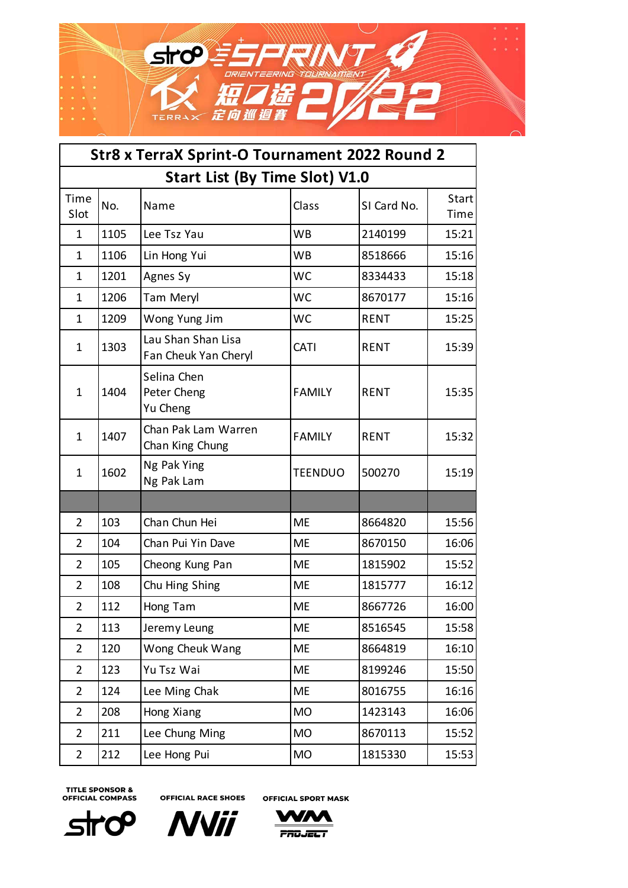

| Str8 x TerraX Sprint-O Tournament 2022 Round 2 |                                       |                                            |                |             |                            |  |  |  |
|------------------------------------------------|---------------------------------------|--------------------------------------------|----------------|-------------|----------------------------|--|--|--|
|                                                | <b>Start List (By Time Slot) V1.0</b> |                                            |                |             |                            |  |  |  |
| Time<br>Slot                                   | No.                                   | Name                                       | Class          | SI Card No. | Start <sup> </sup><br>Time |  |  |  |
| $\mathbf{1}$                                   | 1105                                  | Lee Tsz Yau                                | <b>WB</b>      | 2140199     | 15:21                      |  |  |  |
| 1                                              | 1106                                  | Lin Hong Yui                               | <b>WB</b>      | 8518666     | 15:16                      |  |  |  |
| 1                                              | 1201                                  | Agnes Sy                                   | <b>WC</b>      | 8334433     | 15:18                      |  |  |  |
| 1                                              | 1206                                  | Tam Meryl                                  | <b>WC</b>      | 8670177     | 15:16                      |  |  |  |
| 1                                              | 1209                                  | Wong Yung Jim                              | <b>WC</b>      | <b>RENT</b> | 15:25                      |  |  |  |
| 1                                              | 1303                                  | Lau Shan Shan Lisa<br>Fan Cheuk Yan Cheryl | <b>CATI</b>    | <b>RENT</b> | 15:39                      |  |  |  |
| $\mathbf{1}$                                   | 1404                                  | Selina Chen<br>Peter Cheng<br>Yu Cheng     | <b>FAMILY</b>  | <b>RENT</b> | 15:35                      |  |  |  |
| 1                                              | 1407                                  | Chan Pak Lam Warren<br>Chan King Chung     | <b>FAMILY</b>  | <b>RENT</b> | 15:32                      |  |  |  |
| 1                                              | 1602                                  | Ng Pak Ying<br>Ng Pak Lam                  | <b>TEENDUO</b> | 500270      | 15:19                      |  |  |  |
|                                                |                                       |                                            |                |             |                            |  |  |  |
| 2                                              | 103                                   | Chan Chun Hei                              | <b>ME</b>      | 8664820     | 15:56                      |  |  |  |
| $\overline{2}$                                 | 104                                   | Chan Pui Yin Dave                          | <b>ME</b>      | 8670150     | 16:06                      |  |  |  |
| $\overline{2}$                                 | 105                                   | Cheong Kung Pan                            | <b>ME</b>      | 1815902     | 15:52                      |  |  |  |
| $\overline{2}$                                 | 108                                   | Chu Hing Shing                             | <b>ME</b>      | 1815777     | 16:12                      |  |  |  |
| $\overline{2}$                                 | 112                                   | Hong Tam                                   | <b>ME</b>      | 8667726     | 16:00                      |  |  |  |
| 2                                              | 113                                   | Jeremy Leung                               | <b>ME</b>      | 8516545     | 15:58                      |  |  |  |
| $\overline{2}$                                 | 120                                   | Wong Cheuk Wang                            | <b>ME</b>      | 8664819     | 16:10                      |  |  |  |
| $\overline{2}$                                 | 123                                   | Yu Tsz Wai                                 | <b>ME</b>      | 8199246     | 15:50                      |  |  |  |
| $\overline{2}$                                 | 124                                   | Lee Ming Chak                              | <b>ME</b>      | 8016755     | 16:16                      |  |  |  |
| $\overline{2}$                                 | 208                                   | Hong Xiang                                 | <b>MO</b>      | 1423143     | 16:06                      |  |  |  |
| $\overline{2}$                                 | 211                                   | Lee Chung Ming                             | <b>MO</b>      | 8670113     | 15:52                      |  |  |  |
| $\overline{2}$                                 | 212                                   | Lee Hong Pui                               | <b>MO</b>      | 1815330     | 15:53                      |  |  |  |

**OFFICIAL RACE SHOES** 

0۲ **Str** 





**PROJECT**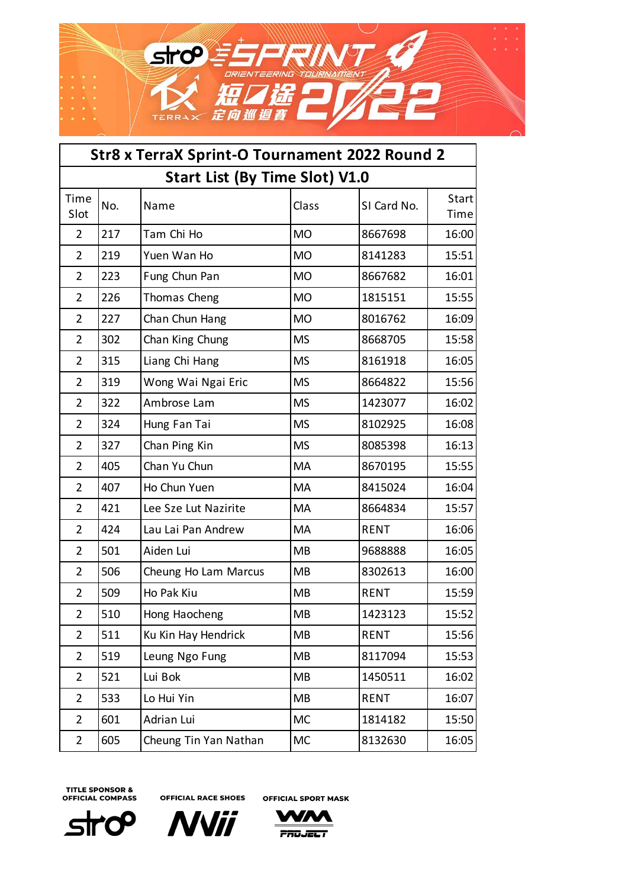

| Str8 x TerraX Sprint-O Tournament 2022 Round 2 |                                       |                       |           |             |               |  |  |  |
|------------------------------------------------|---------------------------------------|-----------------------|-----------|-------------|---------------|--|--|--|
|                                                | <b>Start List (By Time Slot) V1.0</b> |                       |           |             |               |  |  |  |
| Time<br>Slot                                   | No.                                   | Name                  | Class     | SI Card No. | Start<br>Time |  |  |  |
| $\overline{2}$                                 | 217                                   | Tam Chi Ho            | <b>MO</b> | 8667698     | 16:00         |  |  |  |
| $\overline{2}$                                 | 219                                   | Yuen Wan Ho           | <b>MO</b> | 8141283     | 15:51         |  |  |  |
| $\overline{2}$                                 | 223                                   | Fung Chun Pan         | <b>MO</b> | 8667682     | 16:01         |  |  |  |
| $\overline{2}$                                 | 226                                   | Thomas Cheng          | <b>MO</b> | 1815151     | 15:55         |  |  |  |
| $\overline{2}$                                 | 227                                   | Chan Chun Hang        | <b>MO</b> | 8016762     | 16:09         |  |  |  |
| $\overline{2}$                                 | 302                                   | Chan King Chung       | <b>MS</b> | 8668705     | 15:58         |  |  |  |
| $\overline{2}$                                 | 315                                   | Liang Chi Hang        | <b>MS</b> | 8161918     | 16:05         |  |  |  |
| $\overline{2}$                                 | 319                                   | Wong Wai Ngai Eric    | <b>MS</b> | 8664822     | 15:56         |  |  |  |
| $\overline{2}$                                 | 322                                   | Ambrose Lam           | <b>MS</b> | 1423077     | 16:02         |  |  |  |
| $\overline{2}$                                 | 324                                   | Hung Fan Tai          | <b>MS</b> | 8102925     | 16:08         |  |  |  |
| $\overline{2}$                                 | 327                                   | Chan Ping Kin         | <b>MS</b> | 8085398     | 16:13         |  |  |  |
| $\overline{2}$                                 | 405                                   | Chan Yu Chun          | MA        | 8670195     | 15:55         |  |  |  |
| $\overline{2}$                                 | 407                                   | Ho Chun Yuen          | MA        | 8415024     | 16:04         |  |  |  |
| $\overline{2}$                                 | 421                                   | Lee Sze Lut Nazirite  | MA        | 8664834     | 15:57         |  |  |  |
| $\overline{2}$                                 | 424                                   | Lau Lai Pan Andrew    | MA        | <b>RENT</b> | 16:06         |  |  |  |
| $\overline{2}$                                 | 501                                   | Aiden Lui             | <b>MB</b> | 9688888     | 16:05         |  |  |  |
| $\overline{2}$                                 | 506                                   | Cheung Ho Lam Marcus  | MB        | 8302613     | 16:00         |  |  |  |
| $\overline{2}$                                 | 509                                   | Ho Pak Kiu            | <b>MB</b> | <b>RENT</b> | 15:59         |  |  |  |
| $\overline{2}$                                 | 510                                   | Hong Haocheng         | MB        | 1423123     | 15:52         |  |  |  |
| $\overline{2}$                                 | 511                                   | Ku Kin Hay Hendrick   | MB        | <b>RENT</b> | 15:56         |  |  |  |
| $\overline{2}$                                 | 519                                   | Leung Ngo Fung        | MB        | 8117094     | 15:53         |  |  |  |
| $\overline{2}$                                 | 521                                   | Lui Bok               | MB        | 1450511     | 16:02         |  |  |  |
| $\overline{2}$                                 | 533                                   | Lo Hui Yin            | MB        | <b>RENT</b> | 16:07         |  |  |  |
| $\overline{2}$                                 | 601                                   | Adrian Lui            | <b>MC</b> | 1814182     | 15:50         |  |  |  |
| $\overline{2}$                                 | 605                                   | Cheung Tin Yan Nathan | <b>MC</b> | 8132630     | 16:05         |  |  |  |





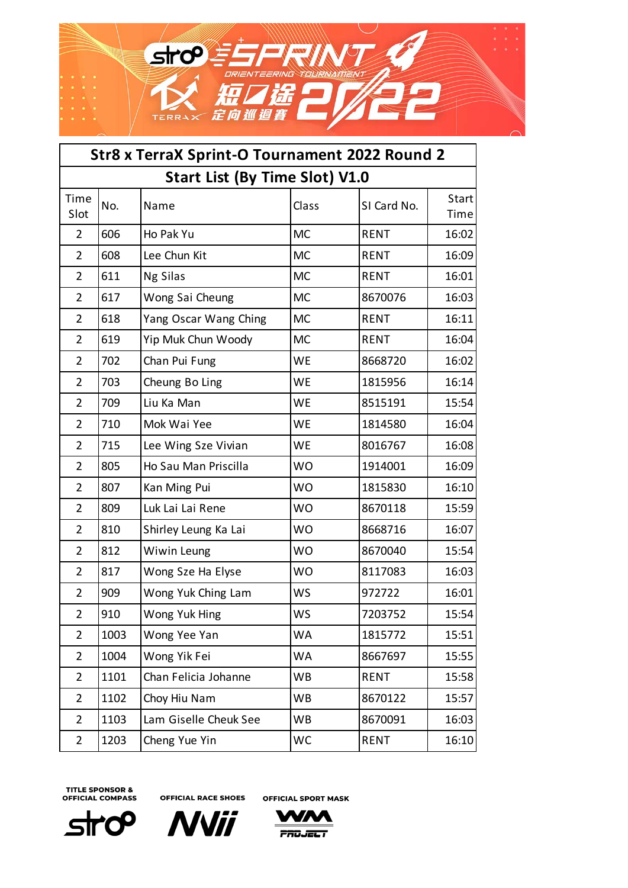

| Str8 x TerraX Sprint-O Tournament 2022 Round 2 |                                       |                       |           |             |               |  |  |  |
|------------------------------------------------|---------------------------------------|-----------------------|-----------|-------------|---------------|--|--|--|
|                                                | <b>Start List (By Time Slot) V1.0</b> |                       |           |             |               |  |  |  |
| Time<br>Slot                                   | No.                                   | Name                  | Class     | SI Card No. | Start<br>Time |  |  |  |
| $\overline{2}$                                 | 606                                   | Ho Pak Yu             | <b>MC</b> | <b>RENT</b> | 16:02         |  |  |  |
| $\overline{2}$                                 | 608                                   | Lee Chun Kit          | <b>MC</b> | <b>RENT</b> | 16:09         |  |  |  |
| $\overline{2}$                                 | 611                                   | Ng Silas              | <b>MC</b> | <b>RENT</b> | 16:01         |  |  |  |
| $\overline{2}$                                 | 617                                   | Wong Sai Cheung       | <b>MC</b> | 8670076     | 16:03         |  |  |  |
| $\overline{2}$                                 | 618                                   | Yang Oscar Wang Ching | <b>MC</b> | <b>RENT</b> | 16:11         |  |  |  |
| $\overline{2}$                                 | 619                                   | Yip Muk Chun Woody    | <b>MC</b> | <b>RENT</b> | 16:04         |  |  |  |
| $\overline{2}$                                 | 702                                   | Chan Pui Fung         | WE        | 8668720     | 16:02         |  |  |  |
| $\overline{2}$                                 | 703                                   | Cheung Bo Ling        | <b>WE</b> | 1815956     | 16:14         |  |  |  |
| $\overline{2}$                                 | 709                                   | Liu Ka Man            | WE        | 8515191     | 15:54         |  |  |  |
| $\overline{2}$                                 | 710                                   | Mok Wai Yee           | WE        | 1814580     | 16:04         |  |  |  |
| $\overline{2}$                                 | 715                                   | Lee Wing Sze Vivian   | <b>WE</b> | 8016767     | 16:08         |  |  |  |
| $\overline{2}$                                 | 805                                   | Ho Sau Man Priscilla  | <b>WO</b> | 1914001     | 16:09         |  |  |  |
| $\overline{2}$                                 | 807                                   | Kan Ming Pui          | <b>WO</b> | 1815830     | 16:10         |  |  |  |
| $\overline{2}$                                 | 809                                   | Luk Lai Lai Rene      | <b>WO</b> | 8670118     | 15:59         |  |  |  |
| $\overline{2}$                                 | 810                                   | Shirley Leung Ka Lai  | <b>WO</b> | 8668716     | 16:07         |  |  |  |
| $\overline{2}$                                 | 812                                   | Wiwin Leung           | <b>WO</b> | 8670040     | 15:54         |  |  |  |
| $\overline{2}$                                 | 817                                   | Wong Sze Ha Elyse     | <b>WO</b> | 8117083     | 16:03         |  |  |  |
| $\overline{2}$                                 | 909                                   | Wong Yuk Ching Lam    | <b>WS</b> | 972722      | 16:01         |  |  |  |
| $\overline{2}$                                 | 910                                   | Wong Yuk Hing         | <b>WS</b> | 7203752     | 15:54         |  |  |  |
| $\overline{2}$                                 | 1003                                  | Wong Yee Yan          | <b>WA</b> | 1815772     | 15:51         |  |  |  |
| $\overline{2}$                                 | 1004                                  | Wong Yik Fei          | <b>WA</b> | 8667697     | 15:55         |  |  |  |
| $\overline{2}$                                 | 1101                                  | Chan Felicia Johanne  | <b>WB</b> | <b>RENT</b> | 15:58         |  |  |  |
| $\overline{2}$                                 | 1102                                  | Choy Hiu Nam          | <b>WB</b> | 8670122     | 15:57         |  |  |  |
| $\overline{2}$                                 | 1103                                  | Lam Giselle Cheuk See | <b>WB</b> | 8670091     | 16:03         |  |  |  |
| $\overline{2}$                                 | 1203                                  | Cheng Yue Yin         | WC        | <b>RENT</b> | 16:10         |  |  |  |





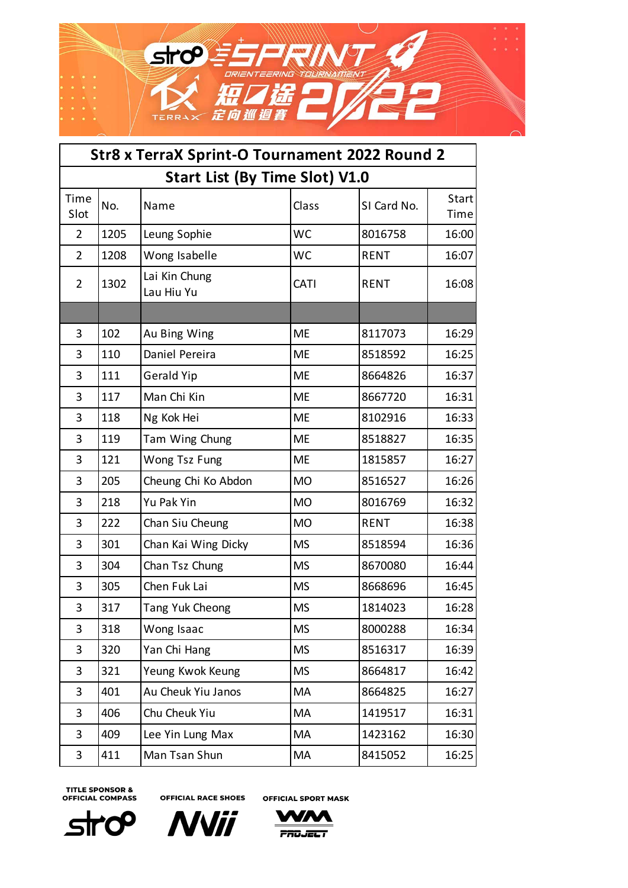

| Str8 x TerraX Sprint-O Tournament 2022 Round 2 |                                       |                             |           |             |               |  |  |  |
|------------------------------------------------|---------------------------------------|-----------------------------|-----------|-------------|---------------|--|--|--|
|                                                | <b>Start List (By Time Slot) V1.0</b> |                             |           |             |               |  |  |  |
| Time<br>Slot                                   | No.                                   | Name                        | Class     | SI Card No. | Start<br>Time |  |  |  |
| $\overline{2}$                                 | 1205                                  | Leung Sophie                | <b>WC</b> | 8016758     | 16:00         |  |  |  |
| $\overline{2}$                                 | 1208                                  | Wong Isabelle               | <b>WC</b> | <b>RENT</b> | 16:07         |  |  |  |
| $\overline{2}$                                 | 1302                                  | Lai Kin Chung<br>Lau Hiu Yu | CATI      | <b>RENT</b> | 16:08         |  |  |  |
|                                                |                                       |                             |           |             |               |  |  |  |
| 3                                              | 102                                   | Au Bing Wing                | <b>ME</b> | 8117073     | 16:29         |  |  |  |
| 3                                              | 110                                   | Daniel Pereira              | ME        | 8518592     | 16:25         |  |  |  |
| 3                                              | 111                                   | <b>Gerald Yip</b>           | <b>ME</b> | 8664826     | 16:37         |  |  |  |
| 3                                              | 117                                   | Man Chi Kin                 | <b>ME</b> | 8667720     | 16:31         |  |  |  |
| 3                                              | 118                                   | Ng Kok Hei                  | ME        | 8102916     | 16:33         |  |  |  |
| 3                                              | 119                                   | Tam Wing Chung              | <b>ME</b> | 8518827     | 16:35         |  |  |  |
| 3                                              | 121                                   | Wong Tsz Fung               | <b>ME</b> | 1815857     | 16:27         |  |  |  |
| 3                                              | 205                                   | Cheung Chi Ko Abdon         | <b>MO</b> | 8516527     | 16:26         |  |  |  |
| 3                                              | 218                                   | Yu Pak Yin                  | <b>MO</b> | 8016769     | 16:32         |  |  |  |
| 3                                              | 222                                   | Chan Siu Cheung             | <b>MO</b> | <b>RENT</b> | 16:38         |  |  |  |
| 3                                              | 301                                   | Chan Kai Wing Dicky         | <b>MS</b> | 8518594     | 16:36         |  |  |  |
| 3                                              | 304                                   | Chan Tsz Chung              | <b>MS</b> | 8670080     | 16:44         |  |  |  |
| 3                                              | 305                                   | Chen Fuk Lai                | <b>MS</b> | 8668696     | 16:45         |  |  |  |
| 3                                              | 317                                   | Tang Yuk Cheong             | <b>MS</b> | 1814023     | 16:28         |  |  |  |
| 3                                              | 318                                   | Wong Isaac                  | <b>MS</b> | 8000288     | 16:34         |  |  |  |
| 3                                              | 320                                   | Yan Chi Hang                | <b>MS</b> | 8516317     | 16:39         |  |  |  |
| 3                                              | 321                                   | Yeung Kwok Keung            | <b>MS</b> | 8664817     | 16:42         |  |  |  |
| 3                                              | 401                                   | Au Cheuk Yiu Janos          | MA        | 8664825     | 16:27         |  |  |  |
| 3                                              | 406                                   | Chu Cheuk Yiu               | MA        | 1419517     | 16:31         |  |  |  |
| 3                                              | 409                                   | Lee Yin Lung Max            | MA        | 1423162     | 16:30         |  |  |  |
| 3                                              | 411                                   | Man Tsan Shun               | MA        | 8415052     | 16:25         |  |  |  |





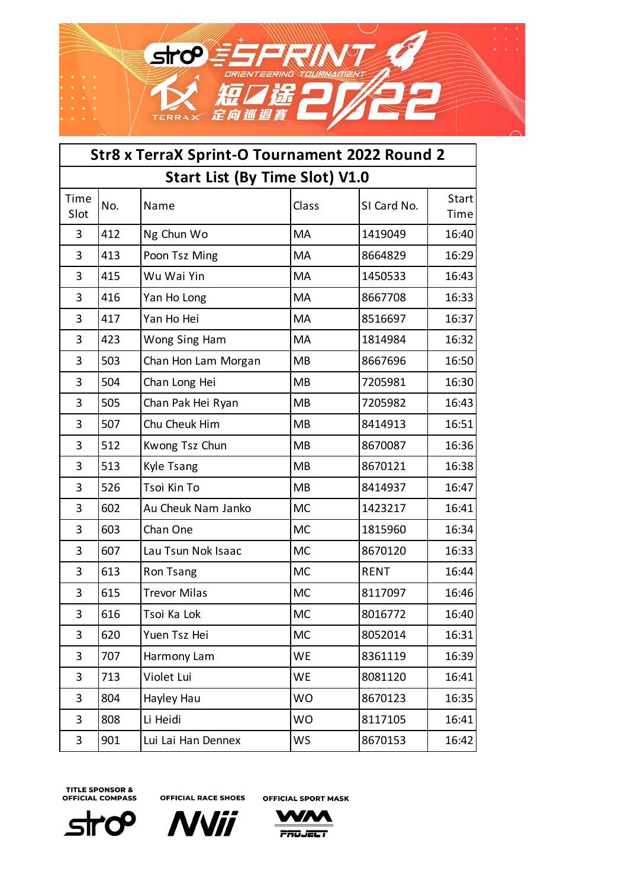

| Str8 x TerraX Sprint-O Tournament 2022 Round 2 |                                       |                     |           |             |               |  |  |  |
|------------------------------------------------|---------------------------------------|---------------------|-----------|-------------|---------------|--|--|--|
|                                                | <b>Start List (By Time Slot) V1.0</b> |                     |           |             |               |  |  |  |
| Time<br>Slot                                   | No.                                   | Name                | Class     | SI Card No. | Start<br>Time |  |  |  |
| 3                                              | 412                                   | Ng Chun Wo          | MA        | 1419049     | 16:40         |  |  |  |
| 3                                              | 413                                   | Poon Tsz Ming       | MA        | 8664829     | 16:29         |  |  |  |
| 3                                              | 415                                   | Wu Wai Yin          | MA        | 1450533     | 16:43         |  |  |  |
| 3                                              | 416                                   | Yan Ho Long         | MA        | 8667708     | 16:33         |  |  |  |
| 3                                              | 417                                   | Yan Ho Hei          | MA        | 8516697     | 16:37         |  |  |  |
| 3                                              | 423                                   | Wong Sing Ham       | MA        | 1814984     | 16:32         |  |  |  |
| 3                                              | 503                                   | Chan Hon Lam Morgan | <b>MB</b> | 8667696     | 16:50         |  |  |  |
| 3                                              | 504                                   | Chan Long Hei       | <b>MB</b> | 7205981     | 16:30         |  |  |  |
| 3                                              | 505                                   | Chan Pak Hei Ryan   | <b>MB</b> | 7205982     | 16:43         |  |  |  |
| 3                                              | 507                                   | Chu Cheuk Him       | <b>MB</b> | 8414913     | 16:51         |  |  |  |
| 3                                              | 512                                   | Kwong Tsz Chun      | <b>MB</b> | 8670087     | 16:36         |  |  |  |
| 3                                              | 513                                   | Kyle Tsang          | <b>MB</b> | 8670121     | 16:38         |  |  |  |
| 3                                              | 526                                   | Tsoi Kin To         | <b>MB</b> | 8414937     | 16:47         |  |  |  |
| 3                                              | 602                                   | Au Cheuk Nam Janko  | <b>MC</b> | 1423217     | 16:41         |  |  |  |
| 3                                              | 603                                   | Chan One            | <b>MC</b> | 1815960     | 16:34         |  |  |  |
| 3                                              | 607                                   | Lau Tsun Nok Isaac  | <b>MC</b> | 8670120     | 16:33         |  |  |  |
| 3                                              | 613                                   | Ron Tsang           | <b>MC</b> | <b>RENT</b> | 16:44         |  |  |  |
| 3                                              | 615                                   | <b>Trevor Milas</b> | <b>MC</b> | 8117097     | 16:46         |  |  |  |
| 3                                              | 616                                   | Tsoi Ka Lok         | <b>MC</b> | 8016772     | 16:40         |  |  |  |
| 3                                              | 620                                   | Yuen Tsz Hei        | <b>MC</b> | 8052014     | 16:31         |  |  |  |
| 3                                              | 707                                   | Harmony Lam         | WE        | 8361119     | 16:39         |  |  |  |
| 3                                              | 713                                   | Violet Lui          | WE        | 8081120     | 16:41         |  |  |  |
| 3                                              | 804                                   | Hayley Hau          | <b>WO</b> | 8670123     | 16:35         |  |  |  |
| 3                                              | 808                                   | Li Heidi            | <b>WO</b> | 8117105     | 16:41         |  |  |  |
| 3                                              | 901                                   | Lui Lai Han Dennex  | WS        | 8670153     | 16:42         |  |  |  |